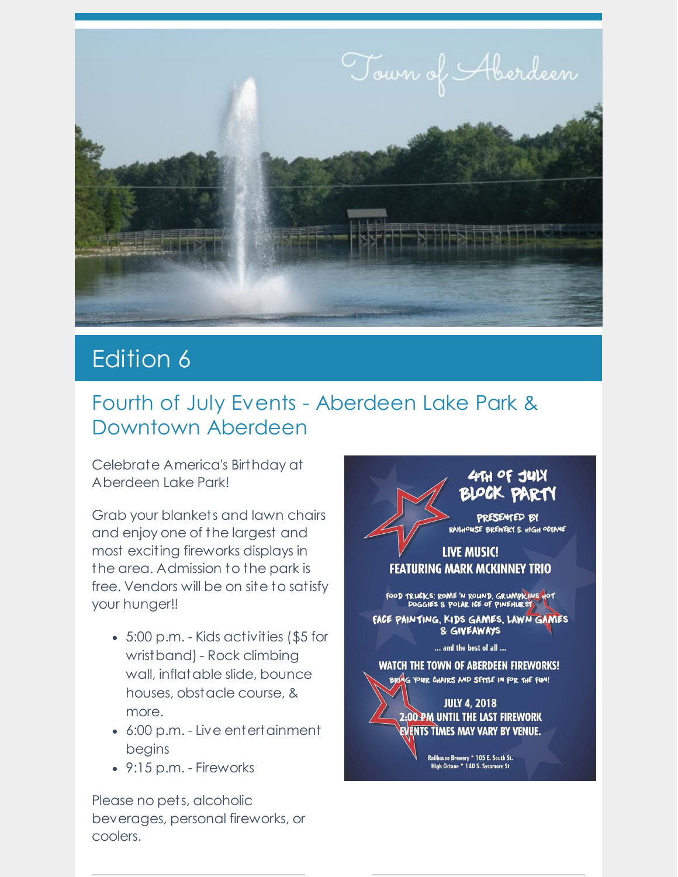

## **Edition 6**

## Fourth of July Events - Aberdeen Lake Park & Downtown Aberdeen

Celebrate America's Birthday at Aberdeen Lake Park!

Grab your blankets and lawn chairs and enjoy one of the largest and most exciting fireworks displays in the area. Admission to the park is free. Vendors will be on site to satisfy your hunger!!

- 5:00 p.m. Kids activities (\$5 for wristband) - Rock climbing wall, inflatable slide, bounce houses, obstacle course, & more.
- 6:00 p.m. Live entertainment begins
- 9:15 p.m. Fireworks

Please no pets, alcoholic beverages, personal fireworks, or coolers.